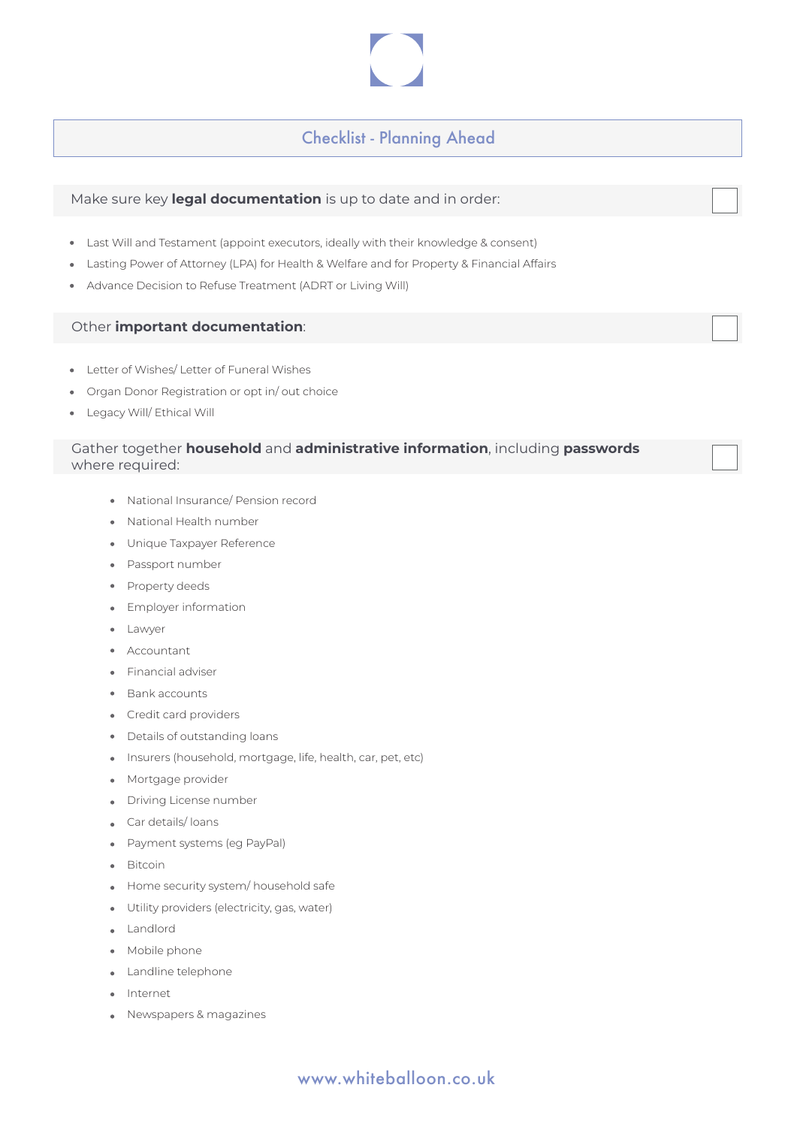## Checklist - Planning Ahead

## Make sure key **legal documentation** is up to date and in order:

- Last Will and Testament (appoint executors, ideally with their knowledge & consent)
- Lasting Power of Attorney (LPA) for Health & Welfare and for Property & Financial Affairs
- Advance Decision to Refuse Treatment (ADRT or Living Will)

### Other **important documentation**:

- Letter of Wishes/ Letter of Funeral Wishes
- Organ Donor Registration or opt in/ out choice
- Legacy Will/ Ethical Will

## Gather together **household** and **administrative information**, including **passwords**  where required:

- National Insurance/ Pension record
- National Health number
- Unique Taxpayer Reference
- Passport number
- Property deeds
- Employer information
- Lawyer
- Accountant
- **•** Financial adviser
- Bank accounts
- Credit card providers
- Details of outstanding loans
- Insurers (household, mortgage, life, health, car, pet, etc)
- **Mortgage provider**
- Driving License number
- Car details/ loans
- Payment systems (eg PayPal)
- Bitcoin
- Home security system/ household safe
- Utility providers (electricity, gas, water)
- Landlord
- Mobile phone
- **Landline telephone**
- Internet
- Newspapers & magazines

# www.whiteballoon.co.uk